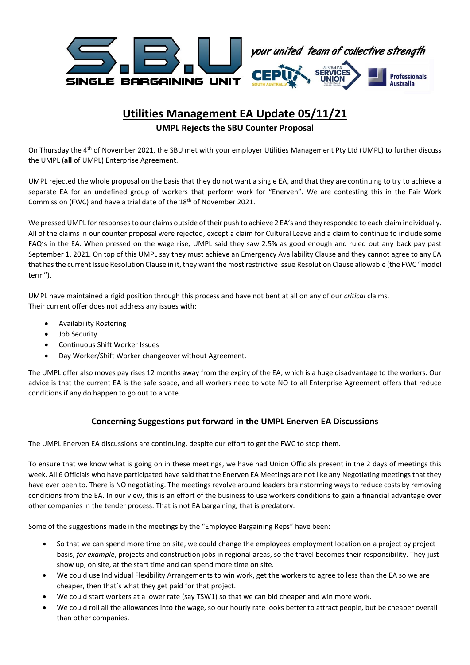

# **Utilities Management EA Update 05/11/21**

### **UMPL Rejects the SBU Counter Proposal**

On Thursday the 4<sup>th</sup> of November 2021, the SBU met with your employer Utilities Management Pty Ltd (UMPL) to further discuss the UMPL (**all** of UMPL) Enterprise Agreement.

UMPL rejected the whole proposal on the basis that they do not want a single EA, and that they are continuing to try to achieve a separate EA for an undefined group of workers that perform work for "Enerven". We are contesting this in the Fair Work Commission (FWC) and have a trial date of the 18<sup>th</sup> of November 2021.

We pressed UMPL for responses to our claims outside of their push to achieve 2 EA's and they responded to each claim individually. All of the claims in our counter proposal were rejected, except a claim for Cultural Leave and a claim to continue to include some FAQ's in the EA. When pressed on the wage rise, UMPL said they saw 2.5% as good enough and ruled out any back pay past September 1, 2021. On top of this UMPL say they must achieve an Emergency Availability Clause and they cannot agree to any EA that has the current Issue Resolution Clause in it, they want the most restrictive Issue Resolution Clause allowable (the FWC "model term").

UMPL have maintained a rigid position through this process and have not bent at all on any of our *critical* claims. Their current offer does not address any issues with:

- Availability Rostering
- Job Security
- Continuous Shift Worker Issues
- Day Worker/Shift Worker changeover without Agreement.

The UMPL offer also moves pay rises 12 months away from the expiry of the EA, which is a huge disadvantage to the workers. Our advice is that the current EA is the safe space, and all workers need to vote NO to all Enterprise Agreement offers that reduce conditions if any do happen to go out to a vote.

#### **Concerning Suggestions put forward in the UMPL Enerven EA Discussions**

The UMPL Enerven EA discussions are continuing, despite our effort to get the FWC to stop them.

To ensure that we know what is going on in these meetings, we have had Union Officials present in the 2 days of meetings this week. All 6 Officials who have participated have said that the Enerven EA Meetings are not like any Negotiating meetings that they have ever been to. There is NO negotiating. The meetings revolve around leaders brainstorming ways to reduce costs by removing conditions from the EA. In our view, this is an effort of the business to use workers conditions to gain a financial advantage over other companies in the tender process. That is not EA bargaining, that is predatory.

Some of the suggestions made in the meetings by the "Employee Bargaining Reps" have been:

- So that we can spend more time on site, we could change the employees employment location on a project by project basis, *for example*, projects and construction jobs in regional areas, so the travel becomes their responsibility. They just show up, on site, at the start time and can spend more time on site.
- We could use Individual Flexibility Arrangements to win work, get the workers to agree to less than the EA so we are cheaper, then that's what they get paid for that project.
- We could start workers at a lower rate (say TSW1) so that we can bid cheaper and win more work.
- We could roll all the allowances into the wage, so our hourly rate looks better to attract people, but be cheaper overall than other companies.